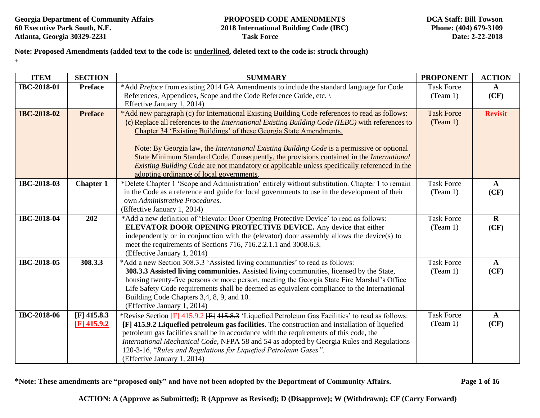**Georgia Department of Community Affairs PROPOSED CODE AMENDMENTS**<br> **CODE AMENDMENTS**<br> **PROPOSED CODE AMENDMENTS**<br> **PROPOSED CODE AMENDMENTS Atlanta, Georgia 30329-2231 Task Force**

# **60 Executive Park South, N.E. 2018 International Building Code (IBC)**

**Note: Proposed Amendments (added text to the code is: underlined, deleted text to the code is: struck through)**  +

| <b>ITEM</b>        | <b>SECTION</b>   | <b>SUMMARY</b>                                                                                                                           | <b>PROPONENT</b>  | <b>ACTION</b>  |
|--------------------|------------------|------------------------------------------------------------------------------------------------------------------------------------------|-------------------|----------------|
| <b>IBC-2018-01</b> | <b>Preface</b>   | *Add Preface from existing 2014 GA Amendments to include the standard language for Code                                                  | <b>Task Force</b> | $\mathbf{A}$   |
|                    |                  | References, Appendices, Scope and the Code Reference Guide, etc. \                                                                       | (Team 1)          | (CF)           |
|                    |                  | Effective January 1, 2014)                                                                                                               |                   |                |
| <b>IBC-2018-02</b> | <b>Preface</b>   | *Add new paragraph (c) for International Existing Building Code references to read as follows:                                           | <b>Task Force</b> | <b>Revisit</b> |
|                    |                  | (c) Replace all references to the <i>International Existing Building Code (IEBC)</i> with references to                                  | (Team 1)          |                |
|                    |                  | Chapter 34 'Existing Buildings' of these Georgia State Amendments.                                                                       |                   |                |
|                    |                  |                                                                                                                                          |                   |                |
|                    |                  | Note: By Georgia law, the <i>International Existing Building Code</i> is a permissive or optional                                        |                   |                |
|                    |                  | State Minimum Standard Code. Consequently, the provisions contained in the International                                                 |                   |                |
|                    |                  | Existing Building Code are not mandatory or applicable unless specifically referenced in the<br>adopting ordinance of local governments. |                   |                |
| <b>IBC-2018-03</b> | <b>Chapter 1</b> | *Delete Chapter 1 'Scope and Administration' entirely without substitution. Chapter 1 to remain                                          | <b>Task Force</b> | $\mathbf{A}$   |
|                    |                  | in the Code as a reference and guide for local governments to use in the development of their                                            | (Team 1)          | (CF)           |
|                    |                  | own Administrative Procedures.                                                                                                           |                   |                |
|                    |                  | (Effective January 1, 2014)                                                                                                              |                   |                |
| <b>IBC-2018-04</b> | 202              | *Add a new definition of 'Elevator Door Opening Protective Device' to read as follows:                                                   | <b>Task Force</b> | $\bf{R}$       |
|                    |                  | ELEVATOR DOOR OPENING PROTECTIVE DEVICE. Any device that either                                                                          | (Team 1)          | (CF)           |
|                    |                  | independently or in conjunction with the (elevator) door assembly allows the device(s) to                                                |                   |                |
|                    |                  | meet the requirements of Sections 716, 716.2.2.1.1 and 3008.6.3.                                                                         |                   |                |
|                    |                  | (Effective January 1, 2014)                                                                                                              |                   |                |
| <b>IBC-2018-05</b> | 308.3.3          | *Add a new Section 308.3.3 'Assisted living communities' to read as follows:                                                             | <b>Task Force</b> | $\mathbf{A}$   |
|                    |                  | 308.3.3 Assisted living communities. Assisted living communities, licensed by the State,                                                 | (Team 1)          | (CF)           |
|                    |                  | housing twenty-five persons or more person, meeting the Georgia State Fire Marshal's Office                                              |                   |                |
|                    |                  | Life Safety Code requirements shall be deemed as equivalent compliance to the International                                              |                   |                |
|                    |                  | Building Code Chapters 3,4, 8, 9, and 10.                                                                                                |                   |                |
|                    |                  | (Effective January 1, 2014)                                                                                                              |                   |                |
| <b>IBC-2018-06</b> | [F] 415.8.3      | *Revise Section [F] 415.9.2 [F] 415.8.3 'Liquefied Petroleum Gas Facilities' to read as follows:                                         | <b>Task Force</b> | $\mathbf{A}$   |
|                    | $[F]$ 415.9.2    | [F] 415.9.2 Liquefied petroleum gas facilities. The construction and installation of liquefied                                           | (Team 1)          | (CF)           |
|                    |                  | petroleum gas facilities shall be in accordance with the requirements of this code, the                                                  |                   |                |
|                    |                  | International Mechanical Code, NFPA 58 and 54 as adopted by Georgia Rules and Regulations                                                |                   |                |
|                    |                  | 120-3-16, "Rules and Regulations for Liquefied Petroleum Gases".                                                                         |                   |                |
|                    |                  | (Effective January 1, 2014)                                                                                                              |                   |                |

**\*Note: These amendments are "proposed only" and have not been adopted by the Department of Community Affairs. Page 1 of 16**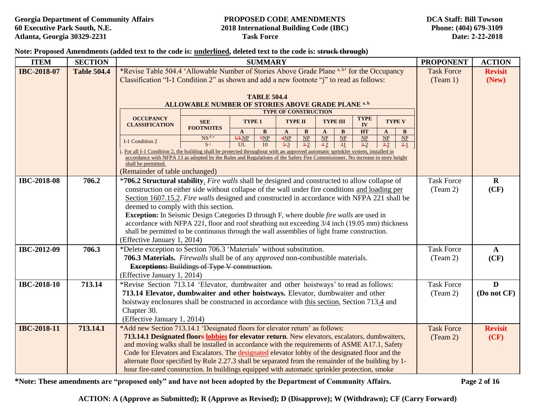**Note: Proposed Amendments (added text to the code is: underlined, deleted text to the code is: struck through)** 

| <b>ITEM</b>        | <b>SECTION</b>     | <b>SUMMARY</b>                                                                                                                                                                 |                                                                                                |                             |                    |                             |                             | <b>PROPONENT</b>   | <b>ACTION</b> |                                     |                                        |                             |                   |                |
|--------------------|--------------------|--------------------------------------------------------------------------------------------------------------------------------------------------------------------------------|------------------------------------------------------------------------------------------------|-----------------------------|--------------------|-----------------------------|-----------------------------|--------------------|---------------|-------------------------------------|----------------------------------------|-----------------------------|-------------------|----------------|
| <b>IBC-2018-07</b> | <b>Table 504.4</b> | *Revise Table 504.4 'Allowable Number of Stories Above Grade Plane a, b' for the Occupancy                                                                                     |                                                                                                |                             |                    |                             |                             |                    |               |                                     |                                        |                             | <b>Task Force</b> | <b>Revisit</b> |
|                    |                    | Classification "I-1 Condition 2" as shown and add a new footnote "j" to read as follows:                                                                                       |                                                                                                |                             |                    |                             | (Team 1)                    | (New)              |               |                                     |                                        |                             |                   |                |
|                    |                    |                                                                                                                                                                                |                                                                                                |                             |                    |                             |                             |                    |               |                                     |                                        |                             |                   |                |
|                    |                    |                                                                                                                                                                                |                                                                                                |                             | <b>TABLE 504.4</b> |                             |                             |                    |               |                                     |                                        |                             |                   |                |
|                    |                    |                                                                                                                                                                                | ALLOWABLE NUMBER OF STORIES ABOVE GRADE PLANE <sup>a, b</sup>                                  |                             |                    |                             |                             |                    |               |                                     |                                        |                             |                   |                |
|                    |                    | <b>OCCUPANCY</b>                                                                                                                                                               |                                                                                                |                             |                    | <b>TYPE OF CONSTRUCTION</b> |                             |                    |               | <b>TYPE</b>                         |                                        |                             |                   |                |
|                    |                    | <b>CLASSIFICATION</b>                                                                                                                                                          | <b>SEE</b><br><b>FOOTNOTES</b>                                                                 | TYPE 1                      |                    | <b>TYPE II</b>              |                             | <b>TYPE III</b>    |               | IV                                  |                                        | <b>TYPE V</b>               |                   |                |
|                    |                    |                                                                                                                                                                                | NS <sup>d, e</sup>                                                                             | $\mathbf{A}$<br><b>ULNP</b> | $\bf{B}$<br>9NP    | $\mathbf{A}$<br>4NP         | B<br>$\overline{\text{NP}}$ | $\mathbf{A}$<br>NP | B<br>NP       | <b>HT</b><br>$\overline{\text{NP}}$ | $\mathbf{A}$<br>$\overline{\text{NP}}$ | B<br>$\overline{\text{NP}}$ |                   |                |
|                    |                    | I-1 Condition 2                                                                                                                                                                | $\overline{S}$ i                                                                               | UL                          | 10                 | $5-3$                       | $\overline{3-2}$            | 42                 | 31            | $3-2$                               | $3-2$                                  | 21                          |                   |                |
|                    |                    | For all I-1 Condition 2, the building shall be protected throughout with an approved automatic sprinkler system, installed in                                                  |                                                                                                |                             |                    |                             |                             |                    |               |                                     |                                        |                             |                   |                |
|                    |                    | accordance with NFPA 13 as adopted by the Rules and Regulations of the Safety Fire Commissioner. No increase in story height<br>shall be permitted.                            |                                                                                                |                             |                    |                             |                             |                    |               |                                     |                                        |                             |                   |                |
|                    |                    | (Remainder of table unchanged)                                                                                                                                                 |                                                                                                |                             |                    |                             |                             |                    |               |                                     |                                        |                             |                   |                |
| <b>IBC-2018-08</b> | 706.2              | *706.2 Structural stability. Fire walls shall be designed and constructed to allow collapse of                                                                                 |                                                                                                |                             |                    |                             |                             |                    |               |                                     |                                        |                             | <b>Task Force</b> | $\mathbf R$    |
|                    |                    | construction on either side without collapse of the wall under fire conditions and loading per                                                                                 |                                                                                                |                             |                    |                             |                             |                    |               |                                     |                                        |                             | (Tean 2)          | (CF)           |
|                    |                    | Section 1607.15.2. Fire walls designed and constructed in accordance with NFPA 221 shall be                                                                                    |                                                                                                |                             |                    |                             |                             |                    |               |                                     |                                        |                             |                   |                |
|                    |                    | deemed to comply with this section.                                                                                                                                            |                                                                                                |                             |                    |                             |                             |                    |               |                                     |                                        |                             |                   |                |
|                    |                    |                                                                                                                                                                                | Exception: In Seismic Design Categories D through F, where double fire walls are used in       |                             |                    |                             |                             |                    |               |                                     |                                        |                             |                   |                |
|                    |                    |                                                                                                                                                                                | accordance with NFPA 221, floor and roof sheathing not exceeding 3/4 inch (19.05 mm) thickness |                             |                    |                             |                             |                    |               |                                     |                                        |                             |                   |                |
|                    |                    | shall be permitted to be continuous through the wall assemblies of light frame construction.                                                                                   |                                                                                                |                             |                    |                             |                             |                    |               |                                     |                                        |                             |                   |                |
|                    |                    | (Effective January 1, 2014)                                                                                                                                                    |                                                                                                |                             |                    |                             |                             |                    |               |                                     |                                        |                             |                   |                |
| IBC-2012-09        | 706.3              | *Delete exception to Section 706.3 'Materials' without substitution.                                                                                                           |                                                                                                |                             |                    |                             |                             |                    |               |                                     |                                        |                             | <b>Task Force</b> | $\mathbf{A}$   |
|                    |                    | 706.3 Materials. Firewalls shall be of any approved non-combustible materials.                                                                                                 |                                                                                                |                             |                    |                             |                             |                    |               |                                     |                                        |                             | (Team 2)          | (CF)           |
|                    |                    | <b>Exceptions: Buildings of Type V construction.</b>                                                                                                                           |                                                                                                |                             |                    |                             |                             |                    |               |                                     |                                        |                             |                   |                |
|                    |                    | (Effective January 1, 2014)                                                                                                                                                    |                                                                                                |                             |                    |                             |                             |                    |               |                                     |                                        |                             | <b>Task Force</b> |                |
| IBC-2018-10        | 713.14             | *Revise Section 713.14 'Elevator, dumbwaiter and other hoistways' to read as follows:                                                                                          |                                                                                                |                             |                    |                             |                             |                    |               |                                     |                                        |                             |                   | D              |
|                    |                    | 713.14 Elevator, dumbwaiter and other hoistways. Elevator, dumbwaiter and other<br>hoistway enclosures shall be constructed in accordance with this section, Section 713.4 and |                                                                                                |                             |                    |                             |                             |                    |               |                                     |                                        |                             | (Team 2)          | (Do not CF)    |
|                    |                    | Chapter 30.                                                                                                                                                                    |                                                                                                |                             |                    |                             |                             |                    |               |                                     |                                        |                             |                   |                |
|                    |                    | (Effective January 1, 2014)                                                                                                                                                    |                                                                                                |                             |                    |                             |                             |                    |               |                                     |                                        |                             |                   |                |
| <b>IBC-2018-11</b> | 713.14.1           | *Add new Section 713.14.1 'Designated floors for elevator return' as follows:                                                                                                  |                                                                                                |                             |                    |                             |                             |                    |               |                                     |                                        |                             | <b>Task Force</b> | <b>Revisit</b> |
|                    |                    | 713.14.1 Designated floors lobbies for elevator return. New elevators, escalators, dumbwaiters,                                                                                |                                                                                                |                             |                    |                             |                             |                    |               |                                     |                                        |                             | (Tean 2)          | (CF)           |
|                    |                    | and moving walks shall be installed in accordance with the requirements of ASME A17.1, Safety                                                                                  |                                                                                                |                             |                    |                             |                             |                    |               |                                     |                                        |                             |                   |                |
|                    |                    | Code for Elevators and Escalators. The designated elevator lobby of the designated floor and the                                                                               |                                                                                                |                             |                    |                             |                             |                    |               |                                     |                                        |                             |                   |                |
|                    |                    | alternate floor specified by Rule 2.27.3 shall be separated from the remainder of the building by 1-                                                                           |                                                                                                |                             |                    |                             |                             |                    |               |                                     |                                        |                             |                   |                |
|                    |                    | hour fire-rated construction. In buildings equipped with automatic sprinkler protection, smoke                                                                                 |                                                                                                |                             |                    |                             |                             |                    |               |                                     |                                        |                             |                   |                |

**\*Note: These amendments are "proposed only" and have not been adopted by the Department of Community Affairs. Page 2 of 16**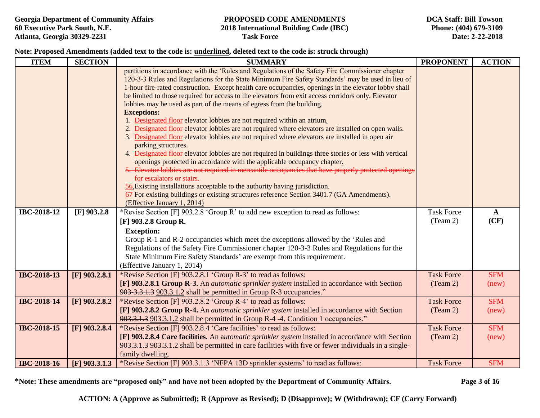### **Note: Proposed Amendments (added text to the code is: underlined, deleted text to the code is: struck through)**

| <b>ITEM</b>        | <b>SECTION</b>  | <b>SUMMARY</b>                                                                                                                                                                                        | <b>PROPONENT</b>  | <b>ACTION</b> |
|--------------------|-----------------|-------------------------------------------------------------------------------------------------------------------------------------------------------------------------------------------------------|-------------------|---------------|
|                    |                 | partitions in accordance with the 'Rules and Regulations of the Safety Fire Commissioner chapter<br>120-3-3 Rules and Regulations for the State Minimum Fire Safety Standards' may be used in lieu of |                   |               |
|                    |                 | 1-hour fire-rated construction. Except health care occupancies, openings in the elevator lobby shall                                                                                                  |                   |               |
|                    |                 | be limited to those required for access to the elevators from exit access corridors only. Elevator                                                                                                    |                   |               |
|                    |                 | lobbies may be used as part of the means of egress from the building.                                                                                                                                 |                   |               |
|                    |                 | <b>Exceptions:</b>                                                                                                                                                                                    |                   |               |
|                    |                 | 1. Designated floor elevator lobbies are not required within an atrium.                                                                                                                               |                   |               |
|                    |                 | 2. Designated floor elevator lobbies are not required where elevators are installed on open walls.                                                                                                    |                   |               |
|                    |                 | 3. Designated floor elevator lobbies are not required where elevators are installed in open air<br>parking structures.                                                                                |                   |               |
|                    |                 | 4. Designated floor elevator lobbies are not required in buildings three stories or less with vertical                                                                                                |                   |               |
|                    |                 | openings protected in accordance with the applicable occupancy chapter.                                                                                                                               |                   |               |
|                    |                 | 5. Elevator lobbies are not required in mercantile occupancies that have properly protected openings                                                                                                  |                   |               |
|                    |                 | for escalators or stairs.                                                                                                                                                                             |                   |               |
|                    |                 | 56. Existing installations acceptable to the authority having jurisdiction.                                                                                                                           |                   |               |
|                    |                 | 67 For existing buildings or existing structures reference Section 3401.7 (GA Amendments).                                                                                                            |                   |               |
|                    |                 | (Effective January 1, 2014)                                                                                                                                                                           |                   |               |
| IBC-2018-12        | $[F]$ 903.2.8   | *Revise Section [F] 903.2.8 'Group R' to add new exception to read as follows:                                                                                                                        | <b>Task Force</b> | $\mathbf{A}$  |
|                    |                 | [F] 903.2.8 Group R.                                                                                                                                                                                  | (Team 2)          | (CF)          |
|                    |                 | <b>Exception:</b>                                                                                                                                                                                     |                   |               |
|                    |                 | Group R-1 and R-2 occupancies which meet the exceptions allowed by the 'Rules and                                                                                                                     |                   |               |
|                    |                 | Regulations of the Safety Fire Commissioner chapter 120-3-3 Rules and Regulations for the                                                                                                             |                   |               |
|                    |                 | State Minimum Fire Safety Standards' are exempt from this requirement.                                                                                                                                |                   |               |
|                    |                 | (Effective January 1, 2014)                                                                                                                                                                           |                   |               |
| <b>IBC-2018-13</b> | $[F]$ 903.2.8.1 | *Revise Section [F] 903.2.8.1 'Group R-3' to read as follows:                                                                                                                                         | <b>Task Force</b> | <b>SFM</b>    |
|                    |                 | [F] 903.2.8.1 Group R-3. An <i>automatic sprinkler system</i> installed in accordance with Section                                                                                                    | (Team 2)          | (new)         |
|                    |                 | 903-3.3.1.3 903.3.1.2 shall be permitted in Group R-3 occupancies."                                                                                                                                   |                   |               |
| <b>IBC-2018-14</b> | $[F]$ 903.2.8.2 | *Revise Section [F] 903.2.8.2 'Group R-4' to read as follows:                                                                                                                                         | <b>Task Force</b> | <b>SFM</b>    |
|                    |                 | [F] 903.2.8.2 Group R-4. An <i>automatic sprinkler system</i> installed in accordance with Section                                                                                                    | (Team 2)          | (new)         |
| <b>IBC-2018-15</b> |                 | 903.3.1.3 903.3.1.2 shall be permitted in Group R-4 -4, Condition 1 occupancies."<br>*Revise Section [F] 903.2.8.4 'Care facilities' to read as follows:                                              | <b>Task Force</b> | <b>SFM</b>    |
|                    | $[F]$ 903.2.8.4 | [F] 903.2.8.4 Care facilities. An automatic sprinkler system installed in accordance with Section                                                                                                     |                   |               |
|                    |                 | 903.3.1.3 903.3.1.2 shall be permitted in care facilities with five or fewer individuals in a single-                                                                                                 | (Tean 2)          | (new)         |
|                    |                 | family dwelling.                                                                                                                                                                                      |                   |               |
| <b>IBC-2018-16</b> | $[F]$ 903.3.1.3 | *Revise Section [F] 903.3.1.3 'NFPA 13D sprinkler systems' to read as follows:                                                                                                                        | <b>Task Force</b> | <b>SFM</b>    |

**\*Note: These amendments are "proposed only" and have not been adopted by the Department of Community Affairs. Page 3 of 16**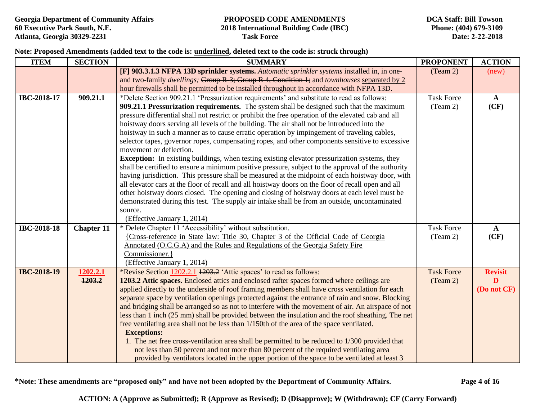### **Note: Proposed Amendments (added text to the code is: underlined, deleted text to the code is: struck through)**

| <b>ITEM</b>        | <b>SECTION</b>    | <b>SUMMARY</b>                                                                                                             | <b>PROPONENT</b>  | <b>ACTION</b>  |
|--------------------|-------------------|----------------------------------------------------------------------------------------------------------------------------|-------------------|----------------|
|                    |                   | [F] 903.3.1.3 NFPA 13D sprinkler systems. Automatic sprinkler systems installed in, in one-                                | (Team 2)          | (new)          |
|                    |                   | and two-family dwellings; Group R-3; Group R-4, Condition 1; and townhouses separated by 2                                 |                   |                |
|                    |                   | hour firewalls shall be permitted to be installed throughout in accordance with NFPA 13D.                                  |                   |                |
| IBC-2018-17        | 909.21.1          | *Delete Section 909.21.1 'Pressurization requirements' and substitute to read as follows:                                  | <b>Task Force</b> | $\mathbf{A}$   |
|                    |                   | 909.21.1 Pressurization requirements. The system shall be designed such that the maximum                                   | (Team 2)          | (CF)           |
|                    |                   | pressure differential shall not restrict or prohibit the free operation of the elevated cab and all                        |                   |                |
|                    |                   | hoistway doors serving all levels of the building. The air shall not be introduced into the                                |                   |                |
|                    |                   | hoistway in such a manner as to cause erratic operation by impingement of traveling cables,                                |                   |                |
|                    |                   | selector tapes, governor ropes, compensating ropes, and other components sensitive to excessive<br>movement or deflection. |                   |                |
|                    |                   | <b>Exception:</b> In existing buildings, when testing existing elevator pressurization systems, they                       |                   |                |
|                    |                   | shall be certified to ensure a minimum positive pressure, subject to the approval of the authority                         |                   |                |
|                    |                   | having jurisdiction. This pressure shall be measured at the midpoint of each hoistway door, with                           |                   |                |
|                    |                   | all elevator cars at the floor of recall and all hoistway doors on the floor of recall open and all                        |                   |                |
|                    |                   | other hoistway doors closed. The opening and closing of hoistway doors at each level must be                               |                   |                |
|                    |                   | demonstrated during this test. The supply air intake shall be from an outside, uncontaminated                              |                   |                |
|                    |                   | source.                                                                                                                    |                   |                |
|                    |                   | (Effective January 1, 2014)                                                                                                |                   |                |
| IBC-2018-18        | <b>Chapter 11</b> | * Delete Chapter 11 'Accessibility' without substitution.                                                                  | <b>Task Force</b> | $\mathbf{A}$   |
|                    |                   | {Cross-reference in State law: Title 30, Chapter 3 of the Official Code of Georgia                                         | (Team 2)          | (CF)           |
|                    |                   | Annotated (O.C.G.A) and the Rules and Regulations of the Georgia Safety Fire                                               |                   |                |
|                    |                   | Commissioner.}                                                                                                             |                   |                |
|                    |                   | (Effective January 1, 2014)                                                                                                |                   |                |
| <b>IBC-2018-19</b> | 1202.2.1          | *Revise Section 1202.2.1 1203.2 'Attic spaces' to read as follows:                                                         | <b>Task Force</b> | <b>Revisit</b> |
|                    | 1203.2            | 1203.2 Attic spaces. Enclosed attics and enclosed rafter spaces formed where ceilings are                                  | (Team 2)          | D              |
|                    |                   | applied directly to the underside of roof framing members shall have cross ventilation for each                            |                   | (Do not CF)    |
|                    |                   | separate space by ventilation openings protected against the entrance of rain and snow. Blocking                           |                   |                |
|                    |                   | and bridging shall be arranged so as not to interfere with the movement of air. An airspace of not                         |                   |                |
|                    |                   | less than 1 inch (25 mm) shall be provided between the insulation and the roof sheathing. The net                          |                   |                |
|                    |                   | free ventilating area shall not be less than 1/150th of the area of the space ventilated.                                  |                   |                |
|                    |                   | <b>Exceptions:</b>                                                                                                         |                   |                |
|                    |                   | 1. The net free cross-ventilation area shall be permitted to be reduced to 1/300 provided that                             |                   |                |
|                    |                   | not less than 50 percent and not more than 80 percent of the required ventilating area                                     |                   |                |
|                    |                   | provided by ventilators located in the upper portion of the space to be ventilated at least 3                              |                   |                |

**\*Note: These amendments are "proposed only" and have not been adopted by the Department of Community Affairs. Page 4 of 16**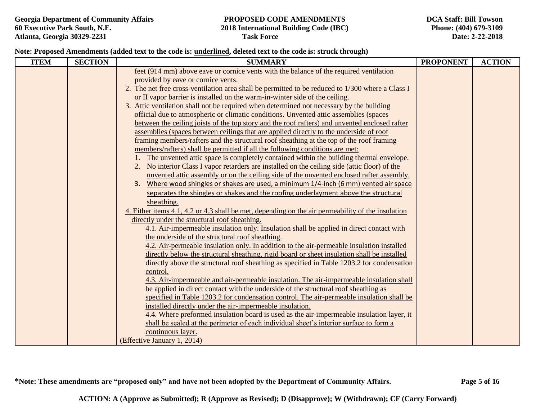#### **Note: Proposed Amendments (added text to the code is: underlined, deleted text to the code is: struck through)**

| <b>ITEM</b> | <b>SECTION</b> | <b>SUMMARY</b>                                                                                    | <b>PROPONENT</b> | <b>ACTION</b> |
|-------------|----------------|---------------------------------------------------------------------------------------------------|------------------|---------------|
|             |                | feet (914 mm) above eave or cornice vents with the balance of the required ventilation            |                  |               |
|             |                | provided by eave or cornice vents.                                                                |                  |               |
|             |                | 2. The net free cross-ventilation area shall be permitted to be reduced to 1/300 where a Class I  |                  |               |
|             |                | or II vapor barrier is installed on the warm-in-winter side of the ceiling.                       |                  |               |
|             |                | 3. Attic ventilation shall not be required when determined not necessary by the building          |                  |               |
|             |                | official due to atmospheric or climatic conditions. Unvented attic assemblies (spaces             |                  |               |
|             |                | between the ceiling joists of the top story and the roof rafters) and unvented enclosed rafter    |                  |               |
|             |                | assemblies (spaces between ceilings that are applied directly to the underside of roof            |                  |               |
|             |                | framing members/rafters and the structural roof sheathing at the top of the roof framing          |                  |               |
|             |                | members/rafters) shall be permitted if all the following conditions are met:                      |                  |               |
|             |                | The unvented attic space is completely contained within the building thermal envelope.            |                  |               |
|             |                | No interior Class I vapor retarders are installed on the ceiling side (attic floor) of the<br>2.  |                  |               |
|             |                | unvented attic assembly or on the ceiling side of the unvented enclosed rafter assembly.          |                  |               |
|             |                | Where wood shingles or shakes are used, a minimum 1/4-inch (6 mm) vented air space<br>3.          |                  |               |
|             |                | separates the shingles or shakes and the roofing underlayment above the structural                |                  |               |
|             |                | sheathing.                                                                                        |                  |               |
|             |                | 4. Either items 4.1, 4.2 or 4.3 shall be met, depending on the air permeability of the insulation |                  |               |
|             |                | directly under the structural roof sheathing.                                                     |                  |               |
|             |                | 4.1. Air-impermeable insulation only. Insulation shall be applied in direct contact with          |                  |               |
|             |                | the underside of the structural roof sheathing.                                                   |                  |               |
|             |                | 4.2. Air-permeable insulation only. In addition to the air-permeable insulation installed         |                  |               |
|             |                | directly below the structural sheathing, rigid board or sheet insulation shall be installed       |                  |               |
|             |                | directly above the structural roof sheathing as specified in Table 1203.2 for condensation        |                  |               |
|             |                | control.                                                                                          |                  |               |
|             |                | 4.3. Air-impermeable and air-permeable insulation. The air-impermeable insulation shall           |                  |               |
|             |                | be applied in direct contact with the underside of the structural roof sheathing as               |                  |               |
|             |                | specified in Table 1203.2 for condensation control. The air-permeable insulation shall be         |                  |               |
|             |                | installed directly under the air-impermeable insulation.                                          |                  |               |
|             |                | 4.4. Where preformed insulation board is used as the air-impermeable insulation layer, it         |                  |               |
|             |                | shall be sealed at the perimeter of each individual sheet's interior surface to form a            |                  |               |
|             |                | continuous layer.                                                                                 |                  |               |
|             |                | (Effective January 1, 2014)                                                                       |                  |               |

**\*Note: These amendments are "proposed only" and have not been adopted by the Department of Community Affairs. Page 5 of 16**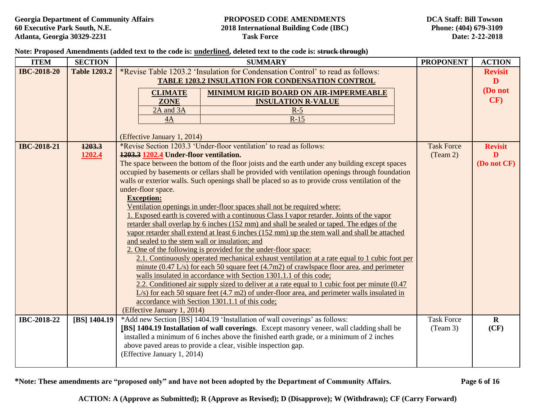#### **Note: Proposed Amendments (added text to the code is: underlined, deleted text to the code is: struck through)**

| <b>ITEM</b>        | <b>SECTION</b>      | <b>PROPONENT</b><br><b>SUMMARY</b>                                                                                                                                                               |                                        |                   | <b>ACTION</b>  |
|--------------------|---------------------|--------------------------------------------------------------------------------------------------------------------------------------------------------------------------------------------------|----------------------------------------|-------------------|----------------|
| <b>IBC-2018-20</b> | <b>Table 1203.2</b> | *Revise Table 1203.2 'Insulation for Condensation Control' to read as follows:                                                                                                                   |                                        |                   | <b>Revisit</b> |
|                    |                     | <b>TABLE 1203.2 INSULATION FOR CONDENSATION CONTROL</b>                                                                                                                                          |                                        |                   | D              |
|                    |                     | <b>CLIMATE</b>                                                                                                                                                                                   | MINIMUM RIGID BOARD ON AIR-IMPERMEABLE |                   | (Do not        |
|                    |                     | <b>ZONE</b>                                                                                                                                                                                      | <b>INSULATION R-VALUE</b>              |                   | CF)            |
|                    |                     | 2A and 3A                                                                                                                                                                                        | $R-5$                                  |                   |                |
|                    |                     | $R-15$<br>4A                                                                                                                                                                                     |                                        |                   |                |
|                    |                     | (Effective January 1, 2014)                                                                                                                                                                      |                                        |                   |                |
| <b>IBC-2018-21</b> | 1203.3              | *Revise Section 1203.3 'Under-floor ventilation' to read as follows:                                                                                                                             |                                        | <b>Task Force</b> | <b>Revisit</b> |
|                    | 1202.4              | 1203.3 1202.4 Under-floor ventilation.                                                                                                                                                           |                                        | (Team 2)          | D              |
|                    |                     | The space between the bottom of the floor joists and the earth under any building except spaces                                                                                                  |                                        |                   | (Do not CF)    |
|                    |                     | occupied by basements or cellars shall be provided with ventilation openings through foundation                                                                                                  |                                        |                   |                |
|                    |                     | walls or exterior walls. Such openings shall be placed so as to provide cross ventilation of the                                                                                                 |                                        |                   |                |
|                    |                     | under-floor space.<br><b>Exception:</b>                                                                                                                                                          |                                        |                   |                |
|                    |                     | Ventilation openings in under-floor spaces shall not be required where:                                                                                                                          |                                        |                   |                |
|                    |                     | 1. Exposed earth is covered with a continuous Class I vapor retarder. Joints of the vapor                                                                                                        |                                        |                   |                |
|                    |                     | retarder shall overlap by 6 inches (152 mm) and shall be sealed or taped. The edges of the                                                                                                       |                                        |                   |                |
|                    |                     | vapor retarder shall extend at least 6 inches (152 mm) up the stem wall and shall be attached                                                                                                    |                                        |                   |                |
|                    |                     | and sealed to the stem wall or insulation; and                                                                                                                                                   |                                        |                   |                |
|                    |                     | 2. One of the following is provided for the under-floor space:                                                                                                                                   |                                        |                   |                |
|                    |                     | 2.1. Continuously operated mechanical exhaust ventilation at a rate equal to 1 cubic foot per                                                                                                    |                                        |                   |                |
|                    |                     | minute $(0.47 \text{ L/s})$ for each 50 square feet $(4.7 \text{ m2})$ of crawlspace floor area, and perimeter                                                                                   |                                        |                   |                |
|                    |                     | walls insulated in accordance with Section 1301.1.1 of this code;                                                                                                                                |                                        |                   |                |
|                    |                     | 2.2. Conditioned air supply sized to deliver at a rate equal to 1 cubic foot per minute (0.47)<br>$L/s$ ) for each 50 square feet (4.7 m2) of under-floor area, and perimeter walls insulated in |                                        |                   |                |
|                    |                     | accordance with Section 1301.1.1 of this code;                                                                                                                                                   |                                        |                   |                |
|                    |                     | (Effective January 1, 2014)                                                                                                                                                                      |                                        |                   |                |
| IBC-2018-22        | [BS] 1404.19        | *Add new Section [BS] 1404.19 'Installation of wall coverings' as follows:                                                                                                                       |                                        | <b>Task Force</b> | $\mathbf R$    |
|                    |                     | [BS] 1404.19 Installation of wall coverings. Except masonry veneer, wall cladding shall be                                                                                                       |                                        | (Team 3)          | (CF)           |
|                    |                     | installed a minimum of 6 inches above the finished earth grade, or a minimum of 2 inches                                                                                                         |                                        |                   |                |
|                    |                     | above paved areas to provide a clear, visible inspection gap.                                                                                                                                    |                                        |                   |                |
|                    |                     | (Effective January 1, 2014)                                                                                                                                                                      |                                        |                   |                |
|                    |                     |                                                                                                                                                                                                  |                                        |                   |                |

**\*Note: These amendments are "proposed only" and have not been adopted by the Department of Community Affairs. Page 6 of 16**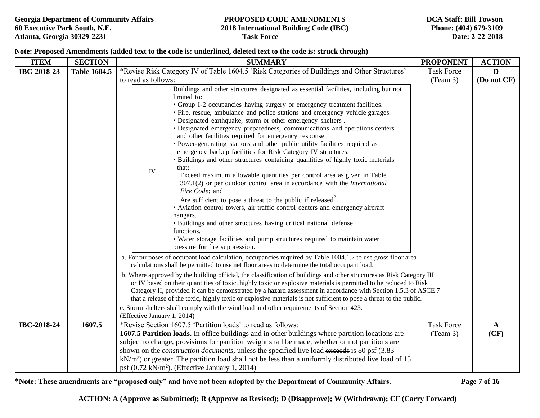**DCA Staff: Bill Towson Phone: (404) 679-3109 Date: 2-22-2018** 

### **Note: Proposed Amendments (added text to the code is: underlined, deleted text to the code is: struck through)**

| <b>ITEM</b> | <b>SECTION</b>      | <b>SUMMARY</b>                                                                                                                                                                                                                                                                                                                                                                                                                                                                                                                                                                                                                                                                                                                                                                                                                                                                                                                                                                                                                                                                                                                                                                                                                                                                      | <b>PROPONENT</b>              | <b>ACTION</b>        |
|-------------|---------------------|-------------------------------------------------------------------------------------------------------------------------------------------------------------------------------------------------------------------------------------------------------------------------------------------------------------------------------------------------------------------------------------------------------------------------------------------------------------------------------------------------------------------------------------------------------------------------------------------------------------------------------------------------------------------------------------------------------------------------------------------------------------------------------------------------------------------------------------------------------------------------------------------------------------------------------------------------------------------------------------------------------------------------------------------------------------------------------------------------------------------------------------------------------------------------------------------------------------------------------------------------------------------------------------|-------------------------------|----------------------|
| IBC-2018-23 | <b>Table 1604.5</b> | *Revise Risk Category IV of Table 1604.5 'Risk Categories of Buildings and Other Structures'                                                                                                                                                                                                                                                                                                                                                                                                                                                                                                                                                                                                                                                                                                                                                                                                                                                                                                                                                                                                                                                                                                                                                                                        | <b>Task Force</b>             | D                    |
|             |                     | to read as follows:                                                                                                                                                                                                                                                                                                                                                                                                                                                                                                                                                                                                                                                                                                                                                                                                                                                                                                                                                                                                                                                                                                                                                                                                                                                                 | (Team 3)                      | (Do not CF)          |
|             |                     | Buildings and other structures designated as essential facilities, including but not<br>limited to:<br>• Group I-2 occupancies having surgery or emergency treatment facilities.<br>· Fire, rescue, ambulance and police stations and emergency vehicle garages.<br>· Designated earthquake, storm or other emergency shelters <sup>c</sup> .<br>· Designated emergency preparedness, communications and operations centers<br>and other facilities required for emergency response.<br>· Power-generating stations and other public utility facilities required as<br>emergency backup facilities for Risk Category IV structures.<br>· Buildings and other structures containing quantities of highly toxic materials<br>that:<br>IV<br>Exceed maximum allowable quantities per control area as given in Table<br>$307.1(2)$ or per outdoor control area in accordance with the <i>International</i><br>Fire Code; and<br>Are sufficient to pose a threat to the public if released.<br>Aviation control towers, air traffic control centers and emergency aircraft<br>hangars.<br>· Buildings and other structures having critical national defense<br>functions.<br>• Water storage facilities and pump structures required to maintain water<br>pressure for fire suppression. |                               |                      |
|             |                     | a. For purposes of occupant load calculation, occupancies required by Table 1004.1.2 to use gross floor area<br>calculations shall be permitted to use net floor areas to determine the total occupant load.                                                                                                                                                                                                                                                                                                                                                                                                                                                                                                                                                                                                                                                                                                                                                                                                                                                                                                                                                                                                                                                                        |                               |                      |
|             |                     | b. Where approved by the building official, the classification of buildings and other structures as Risk Category III<br>or IV based on their quantities of toxic, highly toxic or explosive materials is permitted to be reduced to Risk<br>Category II, provided it can be demonstrated by a hazard assessment in accordance with Section 1.5.3 of ASCE 7<br>that a release of the toxic, highly toxic or explosive materials is not sufficient to pose a threat to the public.<br>c. Storm shelters shall comply with the wind load and other requirements of Section 423.                                                                                                                                                                                                                                                                                                                                                                                                                                                                                                                                                                                                                                                                                                       |                               |                      |
|             |                     | (Effective January 1, 2014)                                                                                                                                                                                                                                                                                                                                                                                                                                                                                                                                                                                                                                                                                                                                                                                                                                                                                                                                                                                                                                                                                                                                                                                                                                                         |                               |                      |
| IBC-2018-24 | 1607.5              | *Revise Section 1607.5 'Partition loads' to read as follows:<br><b>1607.5 Partition loads.</b> In office buildings and in other buildings where partition locations are                                                                                                                                                                                                                                                                                                                                                                                                                                                                                                                                                                                                                                                                                                                                                                                                                                                                                                                                                                                                                                                                                                             | <b>Task Force</b><br>(Team 3) | $\mathbf{A}$<br>(CF) |
|             |                     | subject to change, provisions for partition weight shall be made, whether or not partitions are                                                                                                                                                                                                                                                                                                                                                                                                                                                                                                                                                                                                                                                                                                                                                                                                                                                                                                                                                                                                                                                                                                                                                                                     |                               |                      |
|             |                     | shown on the <i>construction documents</i> , unless the specified live load exceeds is 80 psf (3.83)                                                                                                                                                                                                                                                                                                                                                                                                                                                                                                                                                                                                                                                                                                                                                                                                                                                                                                                                                                                                                                                                                                                                                                                |                               |                      |
|             |                     | $kN/m2$ or greater. The partition load shall not be less than a uniformly distributed live load of 15                                                                                                                                                                                                                                                                                                                                                                                                                                                                                                                                                                                                                                                                                                                                                                                                                                                                                                                                                                                                                                                                                                                                                                               |                               |                      |
|             |                     | psf $(0.72 \text{ kN/m}^2)$ . (Effective January 1, 2014)                                                                                                                                                                                                                                                                                                                                                                                                                                                                                                                                                                                                                                                                                                                                                                                                                                                                                                                                                                                                                                                                                                                                                                                                                           |                               |                      |

**\*Note: These amendments are "proposed only" and have not been adopted by the Department of Community Affairs. Page 7 of 16**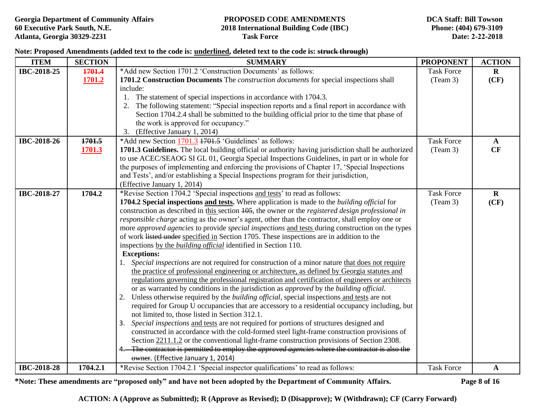### **Note: Proposed Amendments (added text to the code is: underlined, deleted text to the code is: struck through)**

| <b>ITEM</b>        | <b>SECTION</b> | <b>SUMMARY</b>                                                                                         | <b>PROPONENT</b>  | <b>ACTION</b> |
|--------------------|----------------|--------------------------------------------------------------------------------------------------------|-------------------|---------------|
| IBC-2018-25        | 1701.4         | *Add new Section 1701.2 'Construction Documents' as follows:                                           | <b>Task Force</b> | $\bf{R}$      |
|                    | 1701.2         | 1701.2 Construction Documents The construction documents for special inspections shall                 | (Team 3)          | (CF)          |
|                    |                | include:                                                                                               |                   |               |
|                    |                | 1. The statement of special inspections in accordance with 1704.3.                                     |                   |               |
|                    |                | 2. The following statement: "Special inspection reports and a final report in accordance with          |                   |               |
|                    |                | Section 1704.2.4 shall be submitted to the building official prior to the time that phase of           |                   |               |
|                    |                | the work is approved for occupancy."                                                                   |                   |               |
|                    |                | (Effective January 1, 2014)<br>3.                                                                      |                   |               |
| IBC-2018-26        | 1701.5         | *Add new Section 1701.3 1701.5 'Guidelines' as follows:                                                | <b>Task Force</b> | $\mathbf{A}$  |
|                    | 1701.3         | 1701.3 Guidelines. The local building official or authority having jurisdiction shall be authorized    | (Team 3)          | CF            |
|                    |                | to use ACEC/SEAOG SI GL 01, Georgia Special Inspections Guidelines, in part or in whole for            |                   |               |
|                    |                | the purposes of implementing and enforcing the provisions of Chapter 17, 'Special Inspections          |                   |               |
|                    |                | and Tests', and/or establishing a Special Inspections program for their jurisdiction.                  |                   |               |
|                    |                | (Effective January 1, 2014)                                                                            |                   |               |
| IBC-2018-27        | 1704.2         | *Revise Section 1704.2 'Special inspections and tests' to read as follows:                             | <b>Task Force</b> | $\mathbf R$   |
|                    |                | 1704.2 Special inspections and tests. Where application is made to the building official for           | (Team 3)          | (CF)          |
|                    |                | construction as described in this section 105, the owner or the registered design professional in      |                   |               |
|                    |                | responsible charge acting as the owner's agent, other than the contractor, shall employ one or         |                   |               |
|                    |                | more approved agencies to provide special inspections and tests during construction on the types       |                   |               |
|                    |                | of work listed under specified in Section 1705. These inspections are in addition to the               |                   |               |
|                    |                | inspections by the <i>building official</i> identified in Section 110.                                 |                   |               |
|                    |                | <b>Exceptions:</b>                                                                                     |                   |               |
|                    |                | 1. Special inspections are not required for construction of a minor nature that does not require       |                   |               |
|                    |                | the practice of professional engineering or architecture, as defined by Georgia statutes and           |                   |               |
|                    |                | regulations governing the professional registration and certification of engineers or architects       |                   |               |
|                    |                | or as warranted by conditions in the jurisdiction as <i>approved</i> by the <i>building official</i> . |                   |               |
|                    |                | 2. Unless otherwise required by the <i>building official</i> , special inspections and tests are not   |                   |               |
|                    |                | required for Group U occupancies that are accessory to a residential occupancy including, but          |                   |               |
|                    |                | not limited to, those listed in Section 312.1.                                                         |                   |               |
|                    |                | 3. Special inspections and tests are not required for portions of structures designed and              |                   |               |
|                    |                | constructed in accordance with the cold-formed steel light-frame construction provisions of            |                   |               |
|                    |                | Section 2211.1.2 or the conventional light-frame construction provisions of Section 2308.              |                   |               |
|                    |                | 4. The contractor is permitted to employ the <i>approved agencies</i> where the contractor is also the |                   |               |
|                    |                | owner. (Effective January 1, 2014)                                                                     |                   |               |
| <b>IBC-2018-28</b> | 1704.2.1       | *Revise Section 1704.2.1 'Special inspector qualifications' to read as follows:                        | <b>Task Force</b> | $\mathbf A$   |

**\*Note: These amendments are "proposed only" and have not been adopted by the Department of Community Affairs. Page 8 of 16**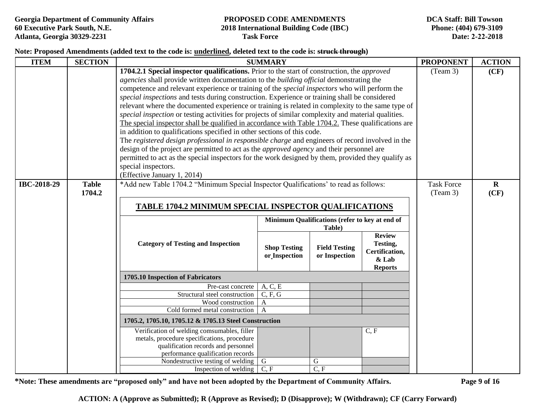### **Note: Proposed Amendments (added text to the code is: underlined, deleted text to the code is: struck through)**

| <b>ITEM</b> | <b>SECTION</b>                                                                                                                                                                                                                                            |                                                                                                                                                                                                                                                                                                                                                                                                                                                                                                                                                                                                                                                                                                                                                                                                                                                                                                                                                                                                                                                                                                                                                                                | <b>SUMMARY</b>                       |                                       |                                                                        | <b>PROPONENT</b> | <b>ACTION</b>        |
|-------------|-----------------------------------------------------------------------------------------------------------------------------------------------------------------------------------------------------------------------------------------------------------|--------------------------------------------------------------------------------------------------------------------------------------------------------------------------------------------------------------------------------------------------------------------------------------------------------------------------------------------------------------------------------------------------------------------------------------------------------------------------------------------------------------------------------------------------------------------------------------------------------------------------------------------------------------------------------------------------------------------------------------------------------------------------------------------------------------------------------------------------------------------------------------------------------------------------------------------------------------------------------------------------------------------------------------------------------------------------------------------------------------------------------------------------------------------------------|--------------------------------------|---------------------------------------|------------------------------------------------------------------------|------------------|----------------------|
|             |                                                                                                                                                                                                                                                           | 1704.2.1 Special inspector qualifications. Prior to the start of construction, the approved<br><i>agencies</i> shall provide written documentation to the <i>building official</i> demonstrating the<br>competence and relevant experience or training of the <i>special inspectors</i> who will perform the<br>special inspections and tests during construction. Experience or training shall be considered<br>relevant where the documented experience or training is related in complexity to the same type of<br>special inspection or testing activities for projects of similar complexity and material qualities.<br>The special inspector shall be qualified in accordance with Table 1704.2. These qualifications are<br>in addition to qualifications specified in other sections of this code.<br>The registered design professional in responsible charge and engineers of record involved in the<br>design of the project are permitted to act as the <i>approved agency</i> and their personnel are<br>permitted to act as the special inspectors for the work designed by them, provided they qualify as<br>special inspectors.<br>(Effective January 1, 2014) | (Team 3)<br><b>Task Force</b>        | (CF)                                  |                                                                        |                  |                      |
|             | *Add new Table 1704.2 "Minimum Special Inspector Qualifications' to read as follows:<br>IBC-2018-29<br><b>Table</b><br>1704.2<br><b>TABLE 1704.2 MINIMUM SPECIAL INSPECTOR QUALIFICATIONS</b><br>Minimum Qualifications (refer to key at end of<br>Table) |                                                                                                                                                                                                                                                                                                                                                                                                                                                                                                                                                                                                                                                                                                                                                                                                                                                                                                                                                                                                                                                                                                                                                                                |                                      |                                       |                                                                        |                  | $\mathbf{R}$<br>(CF) |
|             |                                                                                                                                                                                                                                                           | <b>Category of Testing and Inspection</b>                                                                                                                                                                                                                                                                                                                                                                                                                                                                                                                                                                                                                                                                                                                                                                                                                                                                                                                                                                                                                                                                                                                                      | <b>Shop Testing</b><br>or_Inspection | <b>Field Testing</b><br>or Inspection | <b>Review</b><br>Testing,<br>Certification,<br>& Lab<br><b>Reports</b> |                  |                      |
|             |                                                                                                                                                                                                                                                           | 1705.10 Inspection of Fabricators                                                                                                                                                                                                                                                                                                                                                                                                                                                                                                                                                                                                                                                                                                                                                                                                                                                                                                                                                                                                                                                                                                                                              |                                      |                                       |                                                                        |                  |                      |
|             |                                                                                                                                                                                                                                                           | Pre-cast concrete                                                                                                                                                                                                                                                                                                                                                                                                                                                                                                                                                                                                                                                                                                                                                                                                                                                                                                                                                                                                                                                                                                                                                              | $A, C, \overline{E}$                 |                                       |                                                                        |                  |                      |
|             |                                                                                                                                                                                                                                                           | Structural steel construction                                                                                                                                                                                                                                                                                                                                                                                                                                                                                                                                                                                                                                                                                                                                                                                                                                                                                                                                                                                                                                                                                                                                                  | C, F, G                              |                                       |                                                                        |                  |                      |
|             |                                                                                                                                                                                                                                                           | Wood construction   A                                                                                                                                                                                                                                                                                                                                                                                                                                                                                                                                                                                                                                                                                                                                                                                                                                                                                                                                                                                                                                                                                                                                                          |                                      |                                       |                                                                        |                  |                      |
|             |                                                                                                                                                                                                                                                           | Cold formed metal construction                                                                                                                                                                                                                                                                                                                                                                                                                                                                                                                                                                                                                                                                                                                                                                                                                                                                                                                                                                                                                                                                                                                                                 |                                      |                                       |                                                                        |                  |                      |
|             |                                                                                                                                                                                                                                                           | 1705.2, 1705.10, 1705.12 & 1705.13 Steel Construction                                                                                                                                                                                                                                                                                                                                                                                                                                                                                                                                                                                                                                                                                                                                                                                                                                                                                                                                                                                                                                                                                                                          |                                      |                                       |                                                                        |                  |                      |
|             |                                                                                                                                                                                                                                                           | Verification of welding comsumables, filler<br>metals, procedure specifications, procedure<br>qualification records and personnel<br>performance qualification records                                                                                                                                                                                                                                                                                                                                                                                                                                                                                                                                                                                                                                                                                                                                                                                                                                                                                                                                                                                                         | G                                    | $\mathbf G$                           | C, F                                                                   |                  |                      |
|             |                                                                                                                                                                                                                                                           | Nondestructive testing of welding<br>Inspection of welding                                                                                                                                                                                                                                                                                                                                                                                                                                                                                                                                                                                                                                                                                                                                                                                                                                                                                                                                                                                                                                                                                                                     | C, F                                 | C, F                                  |                                                                        |                  |                      |

**\*Note: These amendments are "proposed only" and have not been adopted by the Department of Community Affairs. Page 9 of 16**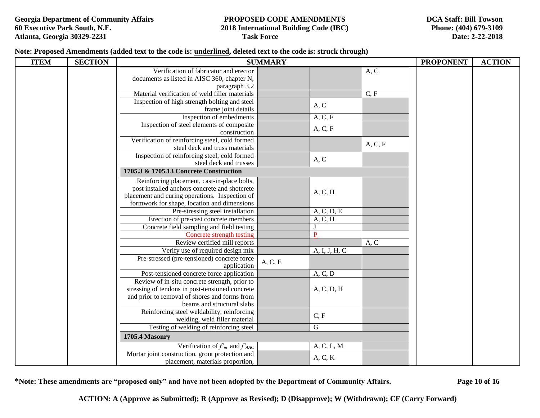**DCA Staff: Bill Towson Phone: (404) 679-3109 Date: 2-22-2018** 

# **60 Executive Park South, N.E. 2018 International Building Code (IBC)**

**Note: Proposed Amendments (added text to the code is: underlined, deleted text to the code is: struck through)** 

| <b>ITEM</b> | <b>SECTION</b> |                                                                                       | <b>SUMMARY</b> |                |         | <b>PROPONENT</b> | <b>ACTION</b> |
|-------------|----------------|---------------------------------------------------------------------------------------|----------------|----------------|---------|------------------|---------------|
|             |                | Verification of fabricator and erector<br>documents as listed in AISC 360, chapter N, |                |                | A, C    |                  |               |
|             |                | paragraph 3.2                                                                         |                |                |         |                  |               |
|             |                | Material verification of weld filler materials                                        |                |                | C, F    |                  |               |
|             |                | Inspection of high strength bolting and steel                                         |                |                |         |                  |               |
|             |                | frame joint details                                                                   |                | A, C           |         |                  |               |
|             |                | Inspection of embedments                                                              |                | A, C, F        |         |                  |               |
|             |                | Inspection of steel elements of composite                                             |                | A, C, F        |         |                  |               |
|             |                | construction                                                                          |                |                |         |                  |               |
|             |                | Verification of reinforcing steel, cold formed                                        |                |                | A, C, F |                  |               |
|             |                | steel deck and truss materials                                                        |                |                |         |                  |               |
|             |                | Inspection of reinforcing steel, cold formed                                          |                | A, C           |         |                  |               |
|             |                | steel deck and trusses                                                                |                |                |         |                  |               |
|             |                | 1705.3 & 1705.13 Concrete Construction                                                |                |                |         |                  |               |
|             |                | Reinforcing placement, cast-in-place bolts,                                           |                |                |         |                  |               |
|             |                | post installed anchors concrete and shotcrete                                         |                | A, C, H        |         |                  |               |
|             |                | placement and curing operations. Inspection of                                        |                |                |         |                  |               |
|             |                | formwork for shape, location and dimensions                                           |                |                |         |                  |               |
|             |                | Pre-stressing steel installation                                                      |                | A, C, D, E     |         |                  |               |
|             |                | Erection of pre-cast concrete members                                                 |                | A, C, H        |         |                  |               |
|             |                | Concrete field sampling and field testing                                             |                |                |         |                  |               |
|             |                | <b>Concrete strength testing</b>                                                      |                | $\overline{P}$ |         |                  |               |
|             |                | Review certified mill reports                                                         |                |                | A, C    |                  |               |
|             |                | Verify use of required design mix<br>Pre-stressed (pre-tensioned) concrete force      |                | A, I, J, H, C  |         |                  |               |
|             |                | application                                                                           | A, C, E        |                |         |                  |               |
|             |                | Post-tensioned concrete force application                                             |                | A, C, D        |         |                  |               |
|             |                | Review of in-situ concrete strength, prior to                                         |                |                |         |                  |               |
|             |                | stressing of tendons in post-tensioned concrete                                       |                | A, C, D, H     |         |                  |               |
|             |                | and prior to removal of shores and forms from                                         |                |                |         |                  |               |
|             |                | beams and structural slabs                                                            |                |                |         |                  |               |
|             |                | Reinforcing steel weldability, reinforcing                                            |                | C, F           |         |                  |               |
|             |                | welding, weld filler material                                                         |                |                |         |                  |               |
|             |                | Testing of welding of reinforcing steel                                               |                | $\overline{G}$ |         |                  |               |
|             |                | <b>1705.4 Masonry</b>                                                                 |                |                |         |                  |               |
|             |                | Verification of $f'_m$ and $f'_{AAC}$                                                 |                | A, C, L, M     |         |                  |               |
|             |                | Mortar joint construction, grout protection and                                       |                | A, C, K        |         |                  |               |
|             |                | placement, materials proportion,                                                      |                |                |         |                  |               |

**\*Note: These amendments are "proposed only" and have not been adopted by the Department of Community Affairs. Page 10 of 16**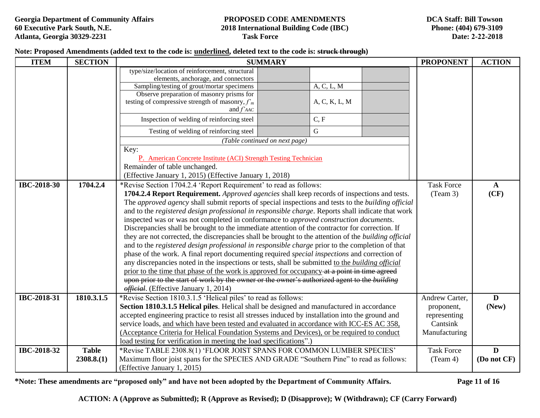#### **Note: Proposed Amendments (added text to the code is: underlined, deleted text to the code is: struck through)**

| <b>ITEM</b>        | <b>SECTION</b> |                                                                                            | <b>SUMMARY</b>                                                                                                                                                                          | <b>PROPONENT</b>  | <b>ACTION</b> |  |  |  |  |
|--------------------|----------------|--------------------------------------------------------------------------------------------|-----------------------------------------------------------------------------------------------------------------------------------------------------------------------------------------|-------------------|---------------|--|--|--|--|
|                    |                | type/size/location of reinforcement, structural                                            |                                                                                                                                                                                         |                   |               |  |  |  |  |
|                    |                | elements, anchorage, and connectors                                                        |                                                                                                                                                                                         |                   |               |  |  |  |  |
|                    |                | Sampling/testing of grout/mortar specimens<br>Observe preparation of masonry prisms for    | A, C, L, M                                                                                                                                                                              |                   |               |  |  |  |  |
|                    |                | testing of compressive strength of masonry, $fm$                                           | A, C, K, L, M                                                                                                                                                                           |                   |               |  |  |  |  |
|                    |                | and $f'$ AAC                                                                               |                                                                                                                                                                                         |                   |               |  |  |  |  |
|                    |                | Inspection of welding of reinforcing steel                                                 | C, F                                                                                                                                                                                    |                   |               |  |  |  |  |
|                    |                | Testing of welding of reinforcing steel                                                    | $\mathbf G$                                                                                                                                                                             |                   |               |  |  |  |  |
|                    |                |                                                                                            | (Table continued on next page)                                                                                                                                                          |                   |               |  |  |  |  |
|                    |                | Key:                                                                                       |                                                                                                                                                                                         |                   |               |  |  |  |  |
|                    |                | P. American Concrete Institute (ACI) Strength Testing Technician                           |                                                                                                                                                                                         |                   |               |  |  |  |  |
|                    |                | Remainder of table unchanged.                                                              |                                                                                                                                                                                         |                   |               |  |  |  |  |
|                    |                | (Effective January 1, 2015) (Effective January 1, 2018)                                    |                                                                                                                                                                                         |                   |               |  |  |  |  |
| <b>IBC-2018-30</b> | 1704.2.4       | *Revise Section 1704.2.4 'Report Requirement' to read as follows:                          |                                                                                                                                                                                         | <b>Task Force</b> | $\mathbf{A}$  |  |  |  |  |
|                    |                |                                                                                            | 1704.2.4 Report Requirement. Approved agencies shall keep records of inspections and tests.                                                                                             | (Team 3)          | (CF)          |  |  |  |  |
|                    |                |                                                                                            | The approved agency shall submit reports of special inspections and tests to the building official                                                                                      |                   |               |  |  |  |  |
|                    |                |                                                                                            | and to the registered design professional in responsible charge. Reports shall indicate that work                                                                                       |                   |               |  |  |  |  |
|                    |                |                                                                                            | inspected was or was not completed in conformance to approved construction documents.<br>Discrepancies shall be brought to the immediate attention of the contractor for correction. If |                   |               |  |  |  |  |
|                    |                |                                                                                            | they are not corrected, the discrepancies shall be brought to the attention of the building official                                                                                    |                   |               |  |  |  |  |
|                    |                |                                                                                            | and to the registered design professional in responsible charge prior to the completion of that                                                                                         |                   |               |  |  |  |  |
|                    |                |                                                                                            | phase of the work. A final report documenting required <i>special inspections</i> and correction of                                                                                     |                   |               |  |  |  |  |
|                    |                |                                                                                            | any discrepancies noted in the inspections or tests, shall be submitted to the building official                                                                                        |                   |               |  |  |  |  |
|                    |                |                                                                                            | prior to the time that phase of the work is approved for occupancy at a point in time agreed                                                                                            |                   |               |  |  |  |  |
|                    |                |                                                                                            | upon prior to the start of work by the owner or the owner's authorized agent to the building                                                                                            |                   |               |  |  |  |  |
|                    |                | <i>official</i> . (Effective January 1, 2014)                                              |                                                                                                                                                                                         |                   |               |  |  |  |  |
| IBC-2018-31        | 1810.3.1.5     | *Revise Section 1810.3.1.5 'Helical piles' to read as follows:                             |                                                                                                                                                                                         | Andrew Carter,    | D             |  |  |  |  |
|                    |                | Section 1810.3.1.5 Helical piles. Helical shall be designed and manufactured in accordance |                                                                                                                                                                                         | proponent,        | (New)         |  |  |  |  |
|                    |                |                                                                                            | accepted engineering practice to resist all stresses induced by installation into the ground and                                                                                        | representing      |               |  |  |  |  |
|                    |                |                                                                                            | service loads, and which have been tested and evaluated in accordance with ICC-ES AC 358,                                                                                               | Cantsink          |               |  |  |  |  |
|                    |                |                                                                                            | (Acceptance Criteria for Helical Foundation Systems and Devices), or be required to conduct                                                                                             | Manufacturing     |               |  |  |  |  |
|                    |                | load testing for verification in meeting the load specifications".)                        |                                                                                                                                                                                         |                   |               |  |  |  |  |
| IBC-2018-32        | <b>Table</b>   | *Revise TABLE 2308.8(1) 'FLOOR JOIST SPANS FOR COMMON LUMBER SPECIES'                      |                                                                                                                                                                                         | <b>Task Force</b> | D             |  |  |  |  |
|                    | 2308.8(1)      |                                                                                            | Maximum floor joist spans for the SPECIES AND GRADE "Southern Pine" to read as follows:                                                                                                 | (Team 4)          | (Do not CF)   |  |  |  |  |
|                    |                | (Effective January 1, 2015)                                                                |                                                                                                                                                                                         |                   |               |  |  |  |  |

**\*Note: These amendments are "proposed only" and have not been adopted by the Department of Community Affairs. Page 11 of 16**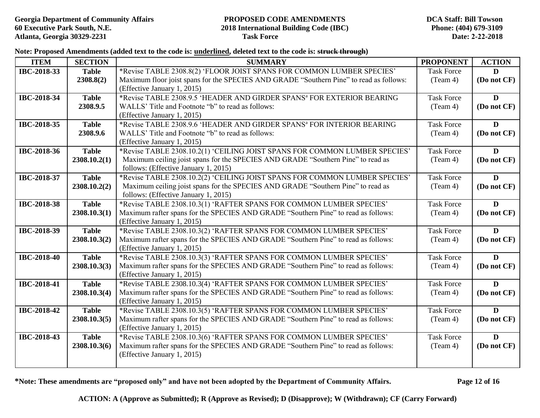**Note: Proposed Amendments (added text to the code is: underlined, deleted text to the code is: struck through)** 

| <b>ITEM</b>        | <b>SECTION</b> | <b>SUMMARY</b>                                                                                                     | <b>PROPONENT</b>  | <b>ACTION</b> |
|--------------------|----------------|--------------------------------------------------------------------------------------------------------------------|-------------------|---------------|
| IBC-2018-33        | <b>Table</b>   | *Revise TABLE 2308.8(2) 'FLOOR JOIST SPANS FOR COMMON LUMBER SPECIES'                                              | <b>Task Force</b> | $\mathbf{D}$  |
|                    | 2308.8(2)      | Maximum floor joist spans for the SPECIES AND GRADE "Southern Pine" to read as follows:                            | (Team 4)          | (Do not CF)   |
|                    |                | (Effective January 1, 2015)                                                                                        |                   |               |
| IBC-2018-34        | <b>Table</b>   | *Revise TABLE 2308.9.5 'HEADER AND GIRDER SPANS <sup>a</sup> FOR EXTERIOR BEARING                                  | <b>Task Force</b> | D             |
|                    | 2308.9.5       | WALLS' Title and Footnote "b" to read as follows:                                                                  | (Team 4)          | (Do not CF)   |
|                    |                | (Effective January 1, 2015)                                                                                        |                   |               |
| IBC-2018-35        | <b>Table</b>   | *Revise TABLE 2308.9.6 'HEADER AND GIRDER SPANS <sup>a</sup> FOR INTERIOR BEARING                                  | <b>Task Force</b> | D             |
|                    | 2308.9.6       | WALLS' Title and Footnote "b" to read as follows:                                                                  | (Team 4)          | (Do not CF)   |
|                    |                | (Effective January 1, 2015)                                                                                        |                   |               |
| IBC-2018-36        | <b>Table</b>   | *Revise TABLE 2308.10.2(1) 'CEILING JOIST SPANS FOR COMMON LUMBER SPECIES'                                         | <b>Task Force</b> | D             |
|                    | 2308.10.2(1)   | Maximum ceiling joist spans for the SPECIES AND GRADE "Southern Pine" to read as                                   | (Team 4)          | (Do not CF)   |
|                    |                | follows: (Effective January 1, 2015)<br>*Revise TABLE 2308.10.2(2) 'CEILING JOIST SPANS FOR COMMON LUMBER SPECIES' | <b>Task Force</b> | D             |
| IBC-2018-37        | <b>Table</b>   | Maximum ceiling joist spans for the SPECIES AND GRADE "Southern Pine" to read as                                   | (Team 4)          | (Do not CF)   |
|                    | 2308.10.2(2)   | follows: (Effective January 1, 2015)                                                                               |                   |               |
| <b>IBC-2018-38</b> | <b>Table</b>   | *Revise TABLE 2308.10.3(1) 'RAFTER SPANS FOR COMMON LUMBER SPECIES'                                                | <b>Task Force</b> | D             |
|                    | 2308.10.3(1)   | Maximum rafter spans for the SPECIES AND GRADE "Southern Pine" to read as follows:                                 | (Team 4)          | (Do not CF)   |
|                    |                | (Effective January 1, 2015)                                                                                        |                   |               |
| IBC-2018-39        | <b>Table</b>   | *Revise TABLE 2308.10.3(2) 'RAFTER SPANS FOR COMMON LUMBER SPECIES'                                                | <b>Task Force</b> | D             |
|                    | 2308.10.3(2)   | Maximum rafter spans for the SPECIES AND GRADE "Southern Pine" to read as follows:                                 | (Team 4)          | (Do not CF)   |
|                    |                | (Effective January 1, 2015)                                                                                        |                   |               |
| <b>IBC-2018-40</b> | <b>Table</b>   | *Revise TABLE 2308.10.3(3) 'RAFTER SPANS FOR COMMON LUMBER SPECIES'                                                | <b>Task Force</b> | D             |
|                    | 2308.10.3(3)   | Maximum rafter spans for the SPECIES AND GRADE "Southern Pine" to read as follows:                                 | (Team 4)          | (Do not CF)   |
|                    |                | (Effective January 1, 2015)                                                                                        |                   |               |
| IBC-2018-41        | <b>Table</b>   | *Revise TABLE 2308.10.3(4) 'RAFTER SPANS FOR COMMON LUMBER SPECIES'                                                | <b>Task Force</b> | D             |
|                    | 2308.10.3(4)   | Maximum rafter spans for the SPECIES AND GRADE "Southern Pine" to read as follows:                                 | (Team 4)          | (Do not CF)   |
|                    |                | (Effective January 1, 2015)                                                                                        |                   |               |
| <b>IBC-2018-42</b> | <b>Table</b>   | *Revise TABLE 2308.10.3(5) 'RAFTER SPANS FOR COMMON LUMBER SPECIES'                                                | <b>Task Force</b> | D             |
|                    | 2308.10.3(5)   | Maximum rafter spans for the SPECIES AND GRADE "Southern Pine" to read as follows:                                 | (Team 4)          | (Do not CF)   |
|                    |                | (Effective January 1, 2015)                                                                                        |                   |               |
| IBC-2018-43        | <b>Table</b>   | *Revise TABLE 2308.10.3(6) 'RAFTER SPANS FOR COMMON LUMBER SPECIES'                                                | <b>Task Force</b> | D             |
|                    | 2308.10.3(6)   | Maximum rafter spans for the SPECIES AND GRADE "Southern Pine" to read as follows:                                 | (Team 4)          | (Do not CF)   |
|                    |                | (Effective January 1, 2015)                                                                                        |                   |               |
|                    |                |                                                                                                                    |                   |               |

**\*Note: These amendments are "proposed only" and have not been adopted by the Department of Community Affairs. Page 12 of 16**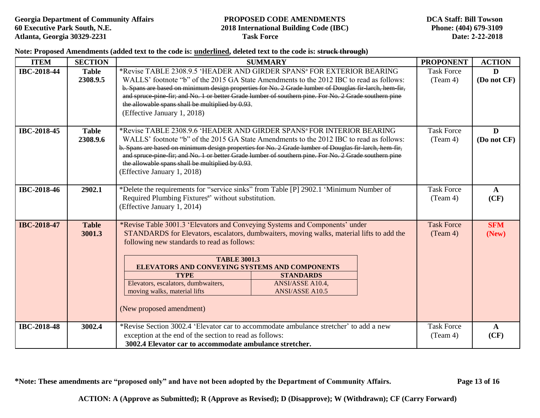**Note: Proposed Amendments (added text to the code is: underlined, deleted text to the code is: struck through)** 

| <b>ITEM</b>        | <b>SECTION</b>           | <b>SUMMARY</b>                                                                                                                                                                                                                                                                                                                                                                                                                                                                       | <b>PROPONENT</b>              | <b>ACTION</b>        |
|--------------------|--------------------------|--------------------------------------------------------------------------------------------------------------------------------------------------------------------------------------------------------------------------------------------------------------------------------------------------------------------------------------------------------------------------------------------------------------------------------------------------------------------------------------|-------------------------------|----------------------|
| <b>IBC-2018-44</b> | <b>Table</b><br>2308.9.5 | *Revise TABLE 2308.9.5 'HEADER AND GIRDER SPANS <sup>a</sup> FOR EXTERIOR BEARING<br>WALLS' footnote "b" of the 2015 GA State Amendments to the 2012 IBC to read as follows:<br>b. Spans are based on minimum design properties for No. 2 Grade lumber of Douglas fir larch, hem fir,<br>and spruce pine fir; and No. 1 or better Grade lumber of southern pine. For No. 2 Grade southern pine<br>the allowable spans shall be multiplied by 0.93.<br>(Effective January 1, 2018)    | <b>Task Force</b><br>(Team 4) | D<br>(Do not CF)     |
| IBC-2018-45        | <b>Table</b><br>2308.9.6 | *Revise TABLE 2308.9.6 'HEADER AND GIRDER SPANS <sup>a</sup> FOR INTERIOR BEARING<br>WALLS' footnote "b" of the 2015 GA State Amendments to the 2012 IBC to read as follows:<br>b. Spans are based on minimum design properties for No. 2 Grade lumber of Douglas fir larch, hem fir,<br>and spruce pine fir; and No. 1 or better Grade lumber of southern pine. For No. 2 Grade southern pine<br>the allowable spans shall be multiplied by 0.93.<br>(Effective January 1, 2018)    | <b>Task Force</b><br>(Team 4) | D<br>(Do not CF)     |
| <b>IBC-2018-46</b> | 2902.1                   | *Delete the requirements for "service sinks" from Table [P] 2902.1 'Minimum Number of<br>Required Plumbing Fixtures <sup>a</sup> ' without substitution.<br>(Effective January 1, 2014)                                                                                                                                                                                                                                                                                              | <b>Task Force</b><br>(Team 4) | $\mathbf{A}$<br>(CF) |
| <b>IBC-2018-47</b> | <b>Table</b><br>3001.3   | *Revise Table 3001.3 'Elevators and Conveying Systems and Components' under<br>STANDARDS for Elevators, escalators, dumbwaiters, moving walks, material lifts to add the<br>following new standards to read as follows:<br><b>TABLE 3001.3</b><br>ELEVATORS AND CONVEYING SYSTEMS AND COMPONENTS<br><b>STANDARDS</b><br><b>TYPE</b><br>Elevators, escalators, dumbwaiters,<br>ANSI/ASSE A10.4,<br>moving walks, material lifts<br><b>ANSI/ASSE A10.5</b><br>(New proposed amendment) |                               | <b>SFM</b><br>(New)  |
| <b>IBC-2018-48</b> | 3002.4                   | *Revise Section 3002.4 'Elevator car to accommodate ambulance stretcher' to add a new<br>exception at the end of the section to read as follows:<br>3002.4 Elevator car to accommodate ambulance stretcher.                                                                                                                                                                                                                                                                          |                               | $\mathbf{A}$<br>(CF) |

**\*Note: These amendments are "proposed only" and have not been adopted by the Department of Community Affairs. Page 13 of 16**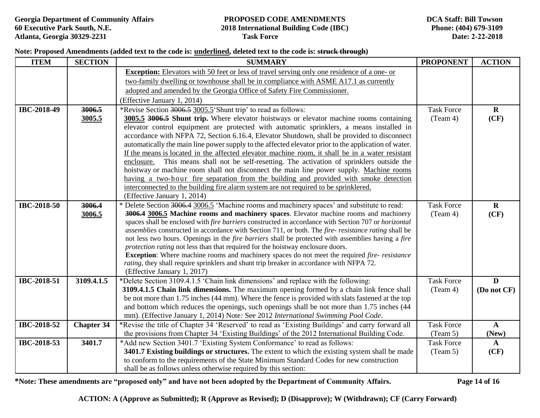#### **Note: Proposed Amendments (added text to the code is: underlined, deleted text to the code is: struck through)**

| <b>ITEM</b>        | <b>SECTION</b>    | <b>SUMMARY</b>                                                                                                                                                                                              |                   | <b>ACTION</b> |
|--------------------|-------------------|-------------------------------------------------------------------------------------------------------------------------------------------------------------------------------------------------------------|-------------------|---------------|
|                    |                   | <b>Exception:</b> Elevators with 50 feet or less of travel serving only one residence of a one- or                                                                                                          |                   |               |
|                    |                   | two-family dwelling or townhouse shall be in compliance with ASME A17.1 as currently                                                                                                                        |                   |               |
|                    |                   | adopted and amended by the Georgia Office of Safety Fire Commissioner.                                                                                                                                      |                   |               |
|                    |                   | (Effective January 1, 2014)                                                                                                                                                                                 |                   |               |
| IBC-2018-49        | 3006.5            | *Revise Section 3006.5 3005.5 'Shunt trip' to read as follows:                                                                                                                                              | <b>Task Force</b> | $\mathbf{R}$  |
|                    | 3005.5            | 3005.5 3006.5 Shunt trip. Where elevator hoistways or elevator machine rooms containing                                                                                                                     | (Team 4)          | (CF)          |
|                    |                   | elevator control equipment are protected with automatic sprinklers, a means installed in                                                                                                                    |                   |               |
|                    |                   | accordance with NFPA 72, Section 6.16.4, Elevator Shutdown, shall be provided to disconnect                                                                                                                 |                   |               |
|                    |                   | automatically the main line power supply to the affected elevator prior to the application of water.<br>If the means is located in the affected elevator machine room, it shall be in a water resistant     |                   |               |
|                    |                   | enclosure. This means shall not be self-resetting. The activation of sprinklers outside the                                                                                                                 |                   |               |
|                    |                   | hoistway or machine room shall not disconnect the main line power supply. Machine rooms                                                                                                                     |                   |               |
|                    |                   | having a two-hour fire separation from the building and provided with smoke detection                                                                                                                       |                   |               |
|                    |                   | interconnected to the building fire alarm system are not required to be sprinklered.                                                                                                                        |                   |               |
|                    |                   | (Effective January 1, 2014)                                                                                                                                                                                 |                   |               |
| <b>IBC-2018-50</b> | 3006.4            | * Delete Section 3006.4 3006.5 'Machine rooms and machinery spaces' and substitute to read:                                                                                                                 | <b>Task Force</b> | $\mathbf R$   |
|                    | 3006.5            | 3006.4 3006.5 Machine rooms and machinery spaces. Elevator machine rooms and machinery                                                                                                                      | (Team 4)          | (CF)          |
|                    |                   | spaces shall be enclosed with fire barriers constructed in accordance with Section 707 or horizontal<br>assemblies constructed in accordance with Section 711, or both. The fire-resistance rating shall be |                   |               |
|                    |                   | not less two hours. Openings in the fire barriers shall be protected with assemblies having a fire                                                                                                          |                   |               |
|                    |                   | protection rating not less than that required for the hoistway enclosure doors.                                                                                                                             |                   |               |
|                    |                   | <b>Exception:</b> Where machine rooms and machinery spaces do not meet the required fire-resistance                                                                                                         |                   |               |
|                    |                   | rating, they shall require sprinklers and shunt trip breaker in accordance with NFPA 72.                                                                                                                    |                   |               |
|                    |                   | (Effective January 1, 2017)                                                                                                                                                                                 |                   |               |
| IBC-2018-51        | 3109.4.1.5        | *Delete Section 3109.4.1.5 'Chain link dimensions' and replace with the following:                                                                                                                          | <b>Task Force</b> | D             |
|                    |                   | 3109.4.1.5 Chain link dimensions. The maximum opening formed by a chain link fence shall                                                                                                                    | (Team 4)          | (Do not CF)   |
|                    |                   | be not more than 1.75 inches (44 mm). Where the fence is provided with slats fastened at the top<br>and bottom which reduces the openings, such openings shall be not more than 1.75 inches (44             |                   |               |
|                    |                   | mm). (Effective January 1, 2014) Note: See 2012 International Swimming Pool Code.                                                                                                                           |                   |               |
| IBC-2018-52        | <b>Chapter 34</b> | <b>Task Force</b><br>*Revise the title of Chapter 34 'Reserved' to read as 'Existing Buildings' and carry forward all                                                                                       |                   | $\mathbf{A}$  |
|                    |                   | the provisions from Chapter 34 'Existing Buildings' of the 2012 International Building Code.                                                                                                                | (Team 5)<br>(New) |               |
| IBC-2018-53        | 3401.7            | *Add new Section 3401.7 'Existing System Conformance' to read as follows:                                                                                                                                   | <b>Task Force</b> | $\mathbf{A}$  |
|                    |                   | 3401.7 Existing buildings or structures. The extent to which the existing system shall be made                                                                                                              | (Team 5)          | (CF)          |
|                    |                   | to conform to the requirements of the State Minimum Standard Codes for new construction                                                                                                                     |                   |               |
|                    |                   | shall be as follows unless otherwise required by this section:                                                                                                                                              |                   |               |

**\*Note: These amendments are "proposed only" and have not been adopted by the Department of Community Affairs. Page 14 of 16**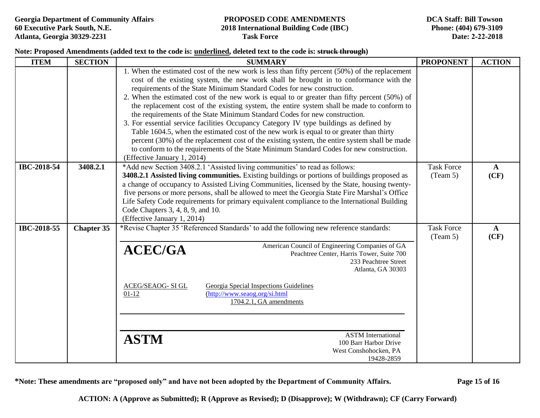#### **Note: Proposed Amendments (added text to the code is: underlined, deleted text to the code is: struck through)**

| <b>ITEM</b> | <b>SECTION</b>    | <b>SUMMARY</b>                                                                                                                                                                                                                                                                                                                                                                                                                                                                                                                                                                                                                                                                                                                                                                                                                                                                                                                                                   |                               | <b>ACTION</b>        |
|-------------|-------------------|------------------------------------------------------------------------------------------------------------------------------------------------------------------------------------------------------------------------------------------------------------------------------------------------------------------------------------------------------------------------------------------------------------------------------------------------------------------------------------------------------------------------------------------------------------------------------------------------------------------------------------------------------------------------------------------------------------------------------------------------------------------------------------------------------------------------------------------------------------------------------------------------------------------------------------------------------------------|-------------------------------|----------------------|
|             |                   | 1. When the estimated cost of the new work is less than fifty percent (50%) of the replacement<br>cost of the existing system, the new work shall be brought in to conformance with the<br>requirements of the State Minimum Standard Codes for new construction.<br>2. When the estimated cost of the new work is equal to or greater than fifty percent (50%) of<br>the replacement cost of the existing system, the entire system shall be made to conform to<br>the requirements of the State Minimum Standard Codes for new construction.<br>3. For essential service facilities Occupancy Category IV type buildings as defined by<br>Table 1604.5, when the estimated cost of the new work is equal to or greater than thirty<br>percent (30%) of the replacement cost of the existing system, the entire system shall be made<br>to conform to the requirements of the State Minimum Standard Codes for new construction.<br>(Effective January 1, 2014) |                               |                      |
| IBC-2018-54 | 3408.2.1          | *Add new Section 3408.2.1 'Assisted living communities' to read as follows:<br>3408.2.1 Assisted living communities. Existing buildings or portions of buildings proposed as<br>a change of occupancy to Assisted Living Communities, licensed by the State, housing twenty-<br>five persons or more persons, shall be allowed to meet the Georgia State Fire Marshal's Office<br>Life Safety Code requirements for primary equivalent compliance to the International Building<br>Code Chapters 3, 4, 8, 9, and 10.<br>(Effective January 1, 2014)                                                                                                                                                                                                                                                                                                                                                                                                              | <b>Task Force</b><br>(Team 5) | $\mathbf{A}$<br>(CF) |
| IBC-2018-55 | <b>Chapter 35</b> | *Revise Chapter 35 'Referenced Standards' to add the following new reference standards:<br>American Council of Engineering Companies of GA<br><b>ACEC/GA</b><br>Peachtree Center, Harris Tower, Suite 700<br>233 Peachtree Street<br>Atlanta, GA 30303<br>Georgia Special Inspections Guidelines<br><b>ACEG/SEAOG-SIGL</b><br>(http://www.seaog.org/si.html<br>$01-12$<br>1704.2.1, GA amendments<br><b>ASTM</b> International<br><b>ASTM</b><br>100 Barr Harbor Drive<br>West Conshohocken, PA<br>19428-2859                                                                                                                                                                                                                                                                                                                                                                                                                                                    | <b>Task Force</b><br>(Team 5) | $\mathbf{A}$<br>(CF) |

**\*Note: These amendments are "proposed only" and have not been adopted by the Department of Community Affairs. Page 15 of 16**